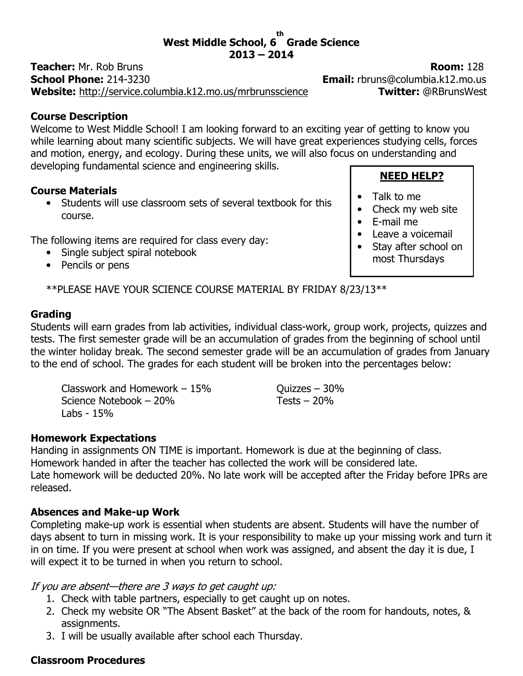#### West Middle School, 6 Grade Science th  $2013 - 2014$

**Teacher:** Mr. Rob Bruns **Room: 128** School Phone: 214-3230 **Email:** rbruns@columbia.k12.mo.us Website: http://service.columbia.k12.mo.us/mrbrunsscience Twitter: @RBrunsWest

#### Course Description

Welcome to West Middle School! I am looking forward to an exciting year of getting to know you while learning about many scientific subjects. We will have great experiences studying cells, forces and motion, energy, and ecology. During these units, we will also focus on understanding and developing fundamental science and engineering skills.

#### Course Materials

• Students will use classroom sets of several textbook for this course.

The following items are required for class every day:

- Single subject spiral notebook
- Pencils or pens

\*\*PLEASE HAVE YOUR SCIENCE COURSE MATERIAL BY FRIDAY 8/23/13\*\*

## Grading

Students will earn grades from lab activities, individual class-work, group work, projects, quizzes and tests. The first semester grade will be an accumulation of grades from the beginning of school until the winter holiday break. The second semester grade will be an accumulation of grades from January to the end of school. The grades for each student will be broken into the percentages below:

Classwork and Homework  $-15%$  Ouizzes – 30% Science Notebook – 20% Tests – 20% Labs - 15%

#### Homework Expectations

Handing in assignments ON TIME is important. Homework is due at the beginning of class. Homework handed in after the teacher has collected the work will be considered late. Late homework will be deducted 20%. No late work will be accepted after the Friday before IPRs are released.

## Absences and Make-up Work

Completing make-up work is essential when students are absent. Students will have the number of days absent to turn in missing work. It is your responsibility to make up your missing work and turn it in on time. If you were present at school when work was assigned, and absent the day it is due, I will expect it to be turned in when you return to school.

If you are absent—there are 3 ways to get caught up:

- 1. Check with table partners, especially to get caught up on notes.
- 2. Check my website OR "The Absent Basket" at the back of the room for handouts, notes, & assignments.
- 3. I will be usually available after school each Thursday.

## Classroom Procedures

• Talk to me

NEED HELP?

- Check my web site
- E-mail me
- Leave a voicemail
- Stay after school on most Thursdays